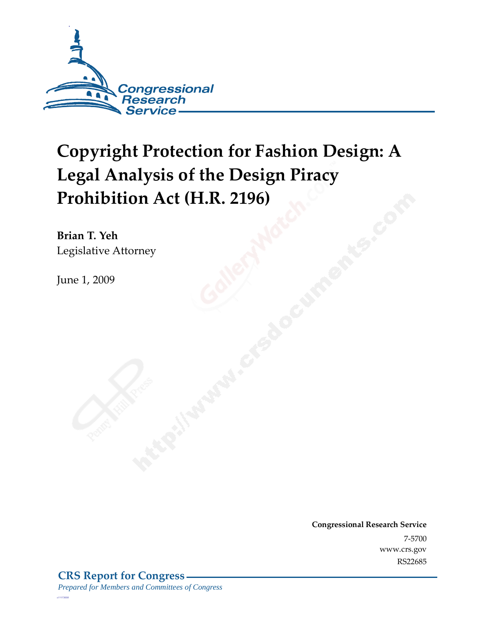

# **Copyright Protection for Fashion Design: A Legal Analysis of the Design Piracy Prohibition Act (H.R. 2196)**

**Brian T. Yeh**  Legislative Attorney

June 1, 2009

**Congressional Research Service** 7-5700 www.crs.gov RS22685

*c11173008*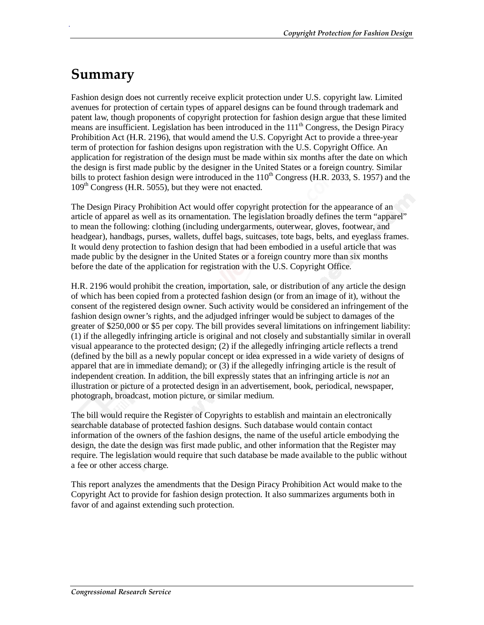## **Summary**

.

Fashion design does not currently receive explicit protection under U.S. copyright law. Limited avenues for protection of certain types of apparel designs can be found through trademark and patent law, though proponents of copyright protection for fashion design argue that these limited means are insufficient. Legislation has been introduced in the  $111<sup>th</sup>$  Congress, the Design Piracy Prohibition Act (H.R. 2196), that would amend the U.S. Copyright Act to provide a three-year term of protection for fashion designs upon registration with the U.S. Copyright Office. An application for registration of the design must be made within six months after the date on which the design is first made public by the designer in the United States or a foreign country. Similar bills to protect fashion design were introduced in the  $110^{th}$  Congress (H.R. 2033, S. 1957) and the  $109<sup>th</sup> Congress$  (H.R. 5055), but they were not enacted.

The Design Piracy Prohibition Act would offer copyright protection for the appearance of an article of apparel as well as its ornamentation. The legislation broadly defines the term "apparel" to mean the following: clothing (including undergarments, outerwear, gloves, footwear, and headgear), handbags, purses, wallets, duffel bags, suitcases, tote bags, belts, and eyeglass frames. It would deny protection to fashion design that had been embodied in a useful article that was made public by the designer in the United States or a foreign country more than six months before the date of the application for registration with the U.S. Copyright Office.

H.R. 2196 would prohibit the creation, importation, sale, or distribution of any article the design of which has been copied from a protected fashion design (or from an image of it), without the consent of the registered design owner. Such activity would be considered an infringement of the fashion design owner's rights, and the adjudged infringer would be subject to damages of the greater of \$250,000 or \$5 per copy. The bill provides several limitations on infringement liability: (1) if the allegedly infringing article is original and not closely and substantially similar in overall visual appearance to the protected design; (2) if the allegedly infringing article reflects a trend (defined by the bill as a newly popular concept or idea expressed in a wide variety of designs of apparel that are in immediate demand); or (3) if the allegedly infringing article is the result of independent creation. In addition, the bill expressly states that an infringing article is *not* an illustration or picture of a protected design in an advertisement, book, periodical, newspaper, photograph, broadcast, motion picture, or similar medium.

The bill would require the Register of Copyrights to establish and maintain an electronically searchable database of protected fashion designs. Such database would contain contact information of the owners of the fashion designs, the name of the useful article embodying the design, the date the design was first made public, and other information that the Register may require. The legislation would require that such database be made available to the public without a fee or other access charge.

This report analyzes the amendments that the Design Piracy Prohibition Act would make to the Copyright Act to provide for fashion design protection. It also summarizes arguments both in favor of and against extending such protection.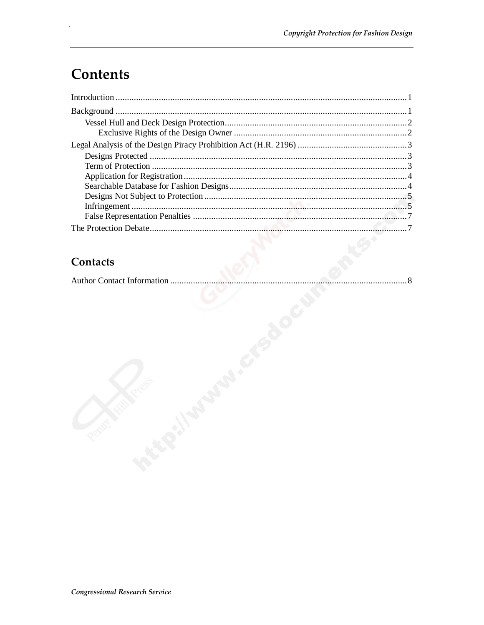## **Contents**

#### Contacts

|--|--|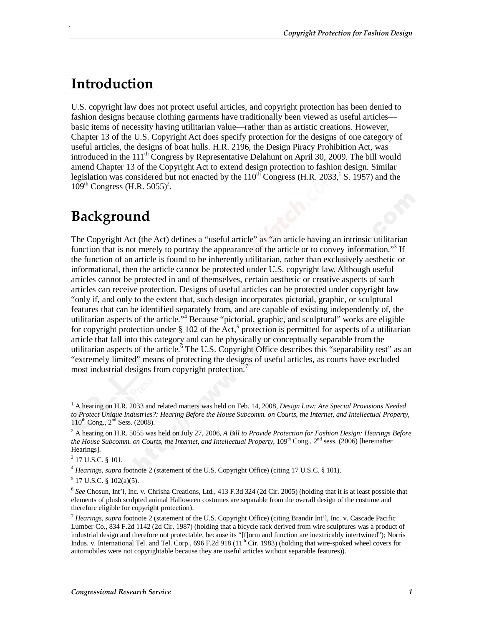### **Introduction**

.

U.S. copyright law does not protect useful articles, and copyright protection has been denied to fashion designs because clothing garments have traditionally been viewed as useful articles basic items of necessity having utilitarian value—rather than as artistic creations. However, Chapter 13 of the U.S. Copyright Act does specify protection for the designs of one category of useful articles, the designs of boat hulls. H.R. 2196, the Design Piracy Prohibition Act, was introduced in the  $111<sup>th</sup>$  Congress by Representative Delahunt on April 30, 2009. The bill would amend Chapter 13 of the Copyright Act to extend design protection to fashion design. Similar legislation was considered but not enacted by the  $110^{th}$  Congress (H.R. 2033, S. 1957) and the  $109^{th}$  Congress (H.R. 5055)<sup>2</sup>.

### **Background**

The Copyright Act (the Act) defines a "useful article" as "an article having an intrinsic utilitarian function that is not merely to portray the appearance of the article or to convey information."<sup>3</sup> If the function of an article is found to be inherently utilitarian, rather than exclusively aesthetic or informational, then the article cannot be protected under U.S. copyright law. Although useful articles cannot be protected in and of themselves, certain aesthetic or creative aspects of such articles can receive protection. Designs of useful articles can be protected under copyright law "only if, and only to the extent that, such design incorporates pictorial, graphic, or sculptural features that can be identified separately from, and are capable of existing independently of, the utilitarian aspects of the article."<sup>4</sup> Because "pictorial, graphic, and sculptural" works are eligible for copyright protection under  $\S 102$  of the Act,<sup>5</sup> protection is permitted for aspects of a utilitarian article that fall into this category and can be physically or conceptually separable from the utilitarian aspects of the article.<sup>6</sup> The U.S. Copyright Office describes this "separability test" as an "extremely limited" means of protecting the designs of useful articles, as courts have excluded most industrial designs from copyright protection.<sup>7</sup>

1

<sup>1</sup> A hearing on H.R. 2033 and related matters was held on Feb. 14, 2008, *Design Law: Are Special Provisions Needed to Protect Unique Industries?: Hearing Before the House Subcomm. on Courts, the Internet, and Intellectual Property,*  $110^{th}$  Cong.,  $2^{nd}$  Sess. (2008).

<sup>2</sup> A hearing on H.R. 5055 was held on July 27, 2006, *A Bill to Provide Protection for Fashion Design: Hearings Before the House Subcomm. on Courts, the Internet, and Intellectual Property, 109<sup>th</sup> Cong., 2<sup>nd</sup> sess. (2006) [hereinafter* Hearings].

 $3$  17 U.S.C. § 101.

<sup>4</sup> *Hearings*, *supra* footnote 2 (statement of the U.S. Copyright Office) (citing 17 U.S.C. § 101).

 $5$  17 U.S.C. § 102(a)(5).

<sup>6</sup> *See* Chosun, Int'l, Inc. v. Chrisha Creations, Ltd., 413 F.3d 324 (2d Cir. 2005) (holding that it is at least possible that elements of plush sculpted animal Halloween costumes are separable from the overall design of the costume and therefore eligible for copyright protection).

<sup>7</sup> *Hearings*, *supra* footnote 2 (statement of the U.S. Copyright Office) (citing Brandir Int'l, Inc. v. Cascade Pacific Lumber Co., 834 F.2d 1142 (2d Cir. 1987) (holding that a bicycle rack derived from wire sculptures was a product of industrial design and therefore not protectable, because its "[f]orm and function are inextricably intertwined"); Norris Indus. v. International Tel. and Tel. Corp.,  $696$  F.2d  $918$  ( $11<sup>th</sup>$  Cir. 1983) (holding that wire-spoked wheel covers for automobiles were not copyrightable because they are useful articles without separable features)).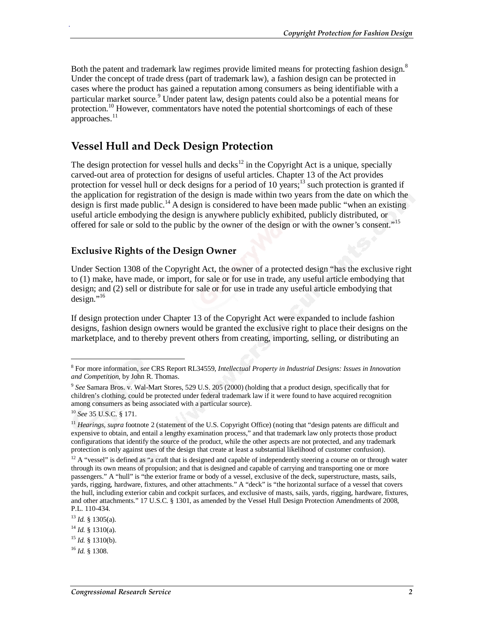Both the patent and trademark law regimes provide limited means for protecting fashion design.<sup>8</sup> Under the concept of trade dress (part of trademark law), a fashion design can be protected in cases where the product has gained a reputation among consumers as being identifiable with a particular market source.<sup>9</sup> Under patent law, design patents could also be a potential means for protection.10 However, commentators have noted the potential shortcomings of each of these approaches. $11$ 

#### **Vessel Hull and Deck Design Protection**

The design protection for vessel hulls and decks<sup>12</sup> in the Copyright Act is a unique, specially carved-out area of protection for designs of useful articles. Chapter 13 of the Act provides protection for vessel hull or deck designs for a period of 10 years;<sup>13</sup> such protection is granted if the application for registration of the design is made within two years from the date on which the design is first made public.<sup>14</sup> A design is considered to have been made public "when an existing" useful article embodying the design is anywhere publicly exhibited, publicly distributed, or offered for sale or sold to the public by the owner of the design or with the owner's consent."<sup>15</sup>

#### **Exclusive Rights of the Design Owner**

Under Section 1308 of the Copyright Act, the owner of a protected design "has the exclusive right to (1) make, have made, or import, for sale or for use in trade, any useful article embodying that design; and (2) sell or distribute for sale or for use in trade any useful article embodying that  $design.^{"16}$ 

If design protection under Chapter 13 of the Copyright Act were expanded to include fashion designs, fashion design owners would be granted the exclusive right to place their designs on the marketplace, and to thereby prevent others from creating, importing, selling, or distributing an

<u>.</u>

.

<sup>8</sup> For more information, *see* CRS Report RL34559, *Intellectual Property in Industrial Designs: Issues in Innovation and Competition*, by John R. Thomas.

<sup>9</sup> *See* Samara Bros. v. Wal-Mart Stores, 529 U.S. 205 (2000) (holding that a product design, specifically that for children's clothing, could be protected under federal trademark law if it were found to have acquired recognition among consumers as being associated with a particular source).

<sup>10</sup> *See* 35 U.S.C. § 171.

<sup>&</sup>lt;sup>11</sup> *Hearings, supra* footnote 2 (statement of the U.S. Copyright Office) (noting that "design patents are difficult and expensive to obtain, and entail a lengthy examination process," and that trademark law only protects those product configurations that identify the source of the product, while the other aspects are not protected, and any trademark protection is only against uses of the design that create at least a substantial likelihood of customer confusion).

 $12$  A "vessel" is defined as "a craft that is designed and capable of independently steering a course on or through water through its own means of propulsion; and that is designed and capable of carrying and transporting one or more passengers." A "hull" is "the exterior frame or body of a vessel, exclusive of the deck, superstructure, masts, sails, yards, rigging, hardware, fixtures, and other attachments." A "deck" is "the horizontal surface of a vessel that covers the hull, including exterior cabin and cockpit surfaces, and exclusive of masts, sails, yards, rigging, hardware, fixtures, and other attachments." 17 U.S.C. § 1301, as amended by the Vessel Hull Design Protection Amendments of 2008, P.L. 110-434.

<sup>13</sup> *Id.* § 1305(a).

<sup>14</sup> *Id.* § 1310(a).

 $^{15}$  *Id.* § 1310(b).

<sup>16</sup> *Id.* § 1308.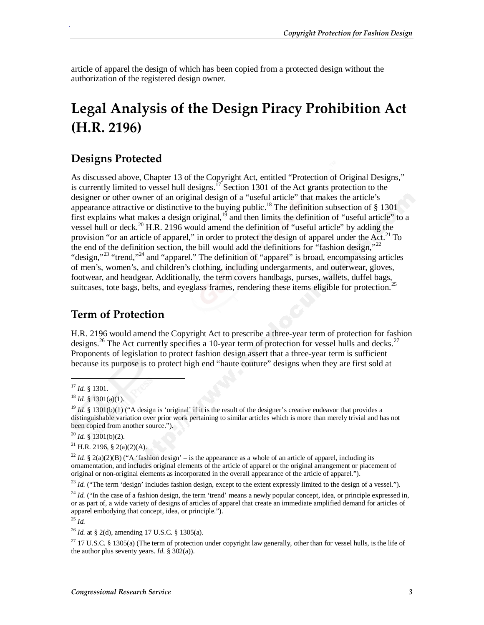article of apparel the design of which has been copied from a protected design without the authorization of the registered design owner.

## **Legal Analysis of the Design Piracy Prohibition Act (H.R. 2196)**

#### **Designs Protected**

As discussed above, Chapter 13 of the Copyright Act, entitled "Protection of Original Designs," is currently limited to vessel hull designs.<sup>17</sup> Section 1301 of the Act grants protection to the designer or other owner of an original design of a "useful article" that makes the article's appearance attractive or distinctive to the buying public.<sup>18</sup> The definition subsection of § 1301 first explains what makes a design original,<sup>19</sup> and then limits the definition of "useful article" to a vessel hull or deck.<sup>20</sup> H.R. 2196 would amend the definition of "useful article" by adding the provision "or an article of apparel," in order to protect the design of apparel under the Act.<sup>21</sup> To the end of the definition section, the bill would add the definitions for "fashion design," $^{22}$ "design,"<sup>23</sup> "trend,"<sup>24</sup> and "apparel." The definition of "apparel" is broad, encompassing articles of men's, women's, and children's clothing, including undergarments, and outerwear, gloves, footwear, and headgear. Additionally, the term covers handbags, purses, wallets, duffel bags, suitcases, tote bags, belts, and eyeglass frames, rendering these items eligible for protection.<sup>25</sup>

#### **Term of Protection**

H.R. 2196 would amend the Copyright Act to prescribe a three-year term of protection for fashion designs.<sup>26</sup> The Act currently specifies a 10-year term of protection for vessel hulls and decks.<sup>27</sup> Proponents of legislation to protect fashion design assert that a three-year term is sufficient because its purpose is to protect high end "haute couture" designs when they are first sold at

1

.

<sup>23</sup> *Id.* ("The term 'design' includes fashion design, except to the extent expressly limited to the design of a vessel.").

<sup>25</sup> *Id.* 

<sup>&</sup>lt;sup>17</sup> *Id.* § 1301.<br><sup>18</sup> *Id.* § 1301(a)(1).

<sup>&</sup>lt;sup>19</sup> *Id.* § 1301(b)(1) ("A design is 'original' if it is the result of the designer's creative endeavor that provides a distinguishable variation over prior work pertaining to similar articles which is more than merely trivial and has not been copied from another source.").

 $^{20}$  *Id.* § 1301(b)(2).

<sup>&</sup>lt;sup>21</sup> H.R. 2196, § 2(a)(2)(A).

<sup>&</sup>lt;sup>22</sup> Id. § 2(a)(2)(B) ("A 'fashion design' – is the appearance as a whole of an article of apparel, including its ornamentation, and includes original elements of the article of apparel or the original arrangement or placement of original or non-original elements as incorporated in the overall appearance of the article of apparel.").

<sup>&</sup>lt;sup>24</sup> *Id.* ("In the case of a fashion design, the term 'trend' means a newly popular concept, idea, or principle expressed in, or as part of, a wide variety of designs of articles of apparel that create an immediate amplified demand for articles of apparel embodying that concept, idea, or principle.").

<sup>26</sup> *Id.* at § 2(d), amending 17 U.S.C. § 1305(a).

 $27$  17 U.S.C. § 1305(a) (The term of protection under copyright law generally, other than for vessel hulls, is the life of the author plus seventy years. *Id.*  $\hat{S}$  302(a)).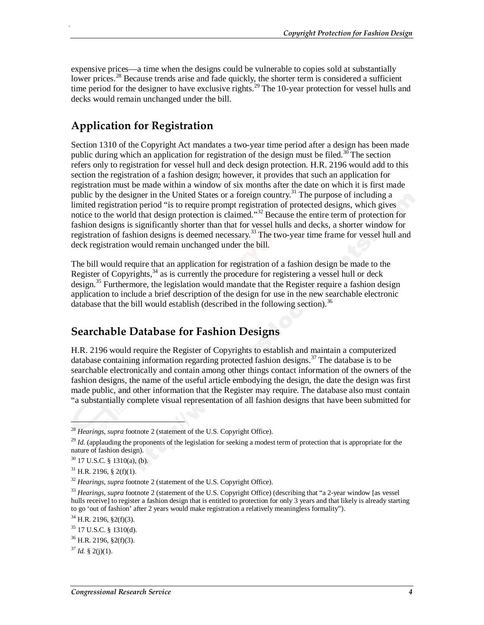expensive prices—a time when the designs could be vulnerable to copies sold at substantially lower prices.<sup>28</sup> Because trends arise and fade quickly, the shorter term is considered a sufficient time period for the designer to have exclusive rights.<sup>29</sup> The 10-year protection for vessel hulls and decks would remain unchanged under the bill.

### **Application for Registration**

Section 1310 of the Copyright Act mandates a two-year time period after a design has been made public during which an application for registration of the design must be filed.<sup>30</sup> The section refers only to registration for vessel hull and deck design protection. H.R. 2196 would add to this section the registration of a fashion design; however, it provides that such an application for registration must be made within a window of six months after the date on which it is first made public by the designer in the United States or a foreign country.<sup>31</sup> The purpose of including a limited registration period "is to require prompt registration of protected designs, which gives notice to the world that design protection is claimed."32 Because the entire term of protection for fashion designs is significantly shorter than that for vessel hulls and decks, a shorter window for registration of fashion designs is deemed necessary.<sup>33</sup> The two-year time frame for vessel hull and deck registration would remain unchanged under the bill.

The bill would require that an application for registration of a fashion design be made to the Register of Copyrights,  $34$  as is currently the procedure for registering a vessel hull or deck design.<sup>35</sup> Furthermore, the legislation would mandate that the Register require a fashion design application to include a brief description of the design for use in the new searchable electronic database that the bill would establish (described in the following section).<sup>36</sup>

#### **Searchable Database for Fashion Designs**

H.R. 2196 would require the Register of Copyrights to establish and maintain a computerized database containing information regarding protected fashion designs.<sup>37</sup> The database is to be searchable electronically and contain among other things contact information of the owners of the fashion designs, the name of the useful article embodying the design, the date the design was first made public, and other information that the Register may require. The database also must contain "a substantially complete visual representation of all fashion designs that have been submitted for

 $\overline{\phantom{a}}$ 

.

<sup>28</sup> *Hearings, supra* footnote 2 (statement of the U.S. Copyright Office).

<sup>&</sup>lt;sup>29</sup> *Id.* (applauding the proponents of the legislation for seeking a modest term of protection that is appropriate for the nature of fashion design).

<sup>30 17</sup> U.S.C. § 1310(a), (b).

 $31$  H.R. 2196, § 2(f)(1).

<sup>&</sup>lt;sup>32</sup> *Hearings, supra* footnote 2 (statement of the U.S. Copyright Office).

<sup>33</sup> *Hearings, supra* footnote 2 (statement of the U.S. Copyright Office) (describing that "a 2-year window [as vessel hulls receive] to register a fashion design that is entitled to protection for only 3 years and that likely is already starting to go 'out of fashion' after 2 years would make registration a relatively meaningless formality").

 $34$  H.R. 2196, §2(f)(3).

<sup>35 17</sup> U.S.C. § 1310(d).

 $36$  H.R. 2196, §2(f)(3).

 $37$  *Id.* § 2(j)(1).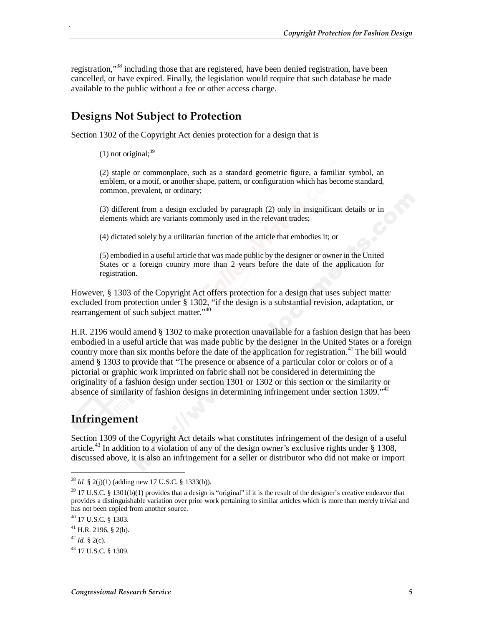registration,"<sup>38</sup> including those that are registered, have been denied registration, have been cancelled, or have expired. Finally, the legislation would require that such database be made available to the public without a fee or other access charge.

#### **Designs Not Subject to Protection**

Section 1302 of the Copyright Act denies protection for a design that is

.

(2) staple or commonplace, such as a standard geometric figure, a familiar symbol, an emblem, or a motif, or another shape, pattern, or configuration which has become standard, common, prevalent, or ordinary;

(3) different from a design excluded by paragraph (2) only in insignificant details or in elements which are variants commonly used in the relevant trades;

(4) dictated solely by a utilitarian function of the article that embodies it; or

(5) embodied in a useful article that was made public by the designer or owner in the United States or a foreign country more than 2 years before the date of the application for registration.

However, § 1303 of the Copyright Act offers protection for a design that uses subject matter excluded from protection under § 1302, "if the design is a substantial revision, adaptation, or rearrangement of such subject matter."<sup>40</sup>

H.R. 2196 would amend § 1302 to make protection unavailable for a fashion design that has been embodied in a useful article that was made public by the designer in the United States or a foreign country more than six months before the date of the application for registration.<sup>41</sup> The bill would amend § 1303 to provide that "The presence or absence of a particular color or colors or of a pictorial or graphic work imprinted on fabric shall not be considered in determining the originality of a fashion design under section 1301 or 1302 or this section or the similarity or absence of similarity of fashion designs in determining infringement under section 1309.<sup>"42</sup>

#### **Infringement**

Section 1309 of the Copyright Act details what constitutes infringement of the design of a useful article.<sup>43</sup> In addition to a violation of any of the design owner's exclusive rights under  $\S$  1308, discussed above, it is also an infringement for a seller or distributor who did not make or import

<u>.</u>

 $(1)$  not original;<sup>39</sup>

<sup>38</sup> *Id.* § 2(j)(1) (adding new 17 U.S.C. § 1333(b)).

 $39$  17 U.S.C. § 1301(b)(1) provides that a design is "original" if it is the result of the designer's creative endeavor that provides a distinguishable variation over prior work pertaining to similar articles which is more than merely trivial and has not been copied from another source.

<sup>40 17</sup> U.S.C. § 1303.

 $41$  H.R. 2196, § 2(b).

 $42$  *Id.* § 2(c).

<sup>43 17</sup> U.S.C. § 1309.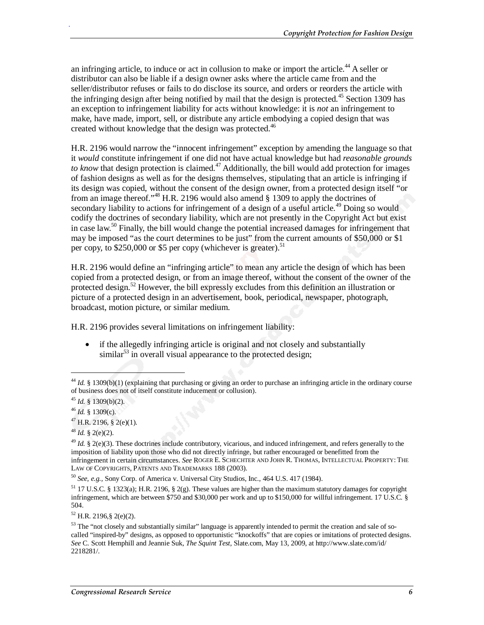an infringing article, to induce or act in collusion to make or import the article.<sup>44</sup> A seller or distributor can also be liable if a design owner asks where the article came from and the seller/distributor refuses or fails to do disclose its source, and orders or reorders the article with the infringing design after being notified by mail that the design is protected.<sup>45</sup> Section 1309 has an exception to infringement liability for acts without knowledge: it is *not* an infringement to make, have made, import, sell, or distribute any article embodying a copied design that was created without knowledge that the design was protected.<sup>46</sup>

H.R. 2196 would narrow the "innocent infringement" exception by amending the language so that it *would* constitute infringement if one did not have actual knowledge but had *reasonable grounds to know* that design protection is claimed.<sup>47</sup> Additionally, the bill would add protection for images of fashion designs as well as for the designs themselves, stipulating that an article is infringing if its design was copied, without the consent of the design owner, from a protected design itself "or from an image thereof."<sup>48</sup> H.R. 2196 would also amend  $\S$  1309 to apply the doctrines of secondary liability to actions for infringement of a design of a useful article.<sup>49</sup> Doing so would codify the doctrines of secondary liability, which are not presently in the Copyright Act but exist in case law.<sup>50</sup> Finally, the bill would change the potential increased damages for infringement that may be imposed "as the court determines to be just" from the current amounts of \$50,000 or \$1 per copy, to  $$250,000$  or \$5 per copy (whichever is greater).<sup>51</sup>

H.R. 2196 would define an "infringing article" to mean any article the design of which has been copied from a protected design, or from an image thereof, without the consent of the owner of the protected design.<sup>52</sup> However, the bill expressly excludes from this definition an illustration or picture of a protected design in an advertisement, book, periodical, newspaper, photograph, broadcast, motion picture, or similar medium.

H.R. 2196 provides several limitations on infringement liability:

• if the allegedly infringing article is original and not closely and substantially  $\sin \theta$ <sup>53</sup> in overall visual appearance to the protected design;

<u>.</u>

.

<sup>50</sup> *See, e.g.,* Sony Corp. of America v. Universal City Studios, Inc., 464 U.S. 417 (1984).

51 17 U.S.C. § 1323(a); H.R. 2196, § 2(g). These values are higher than the maximum statutory damages for copyright infringement, which are between \$750 and \$30,000 per work and up to \$150,000 for willful infringement. 17 U.S.C. § 504.

 $52$  H.R. 2196, § 2(e)(2).

<sup>&</sup>lt;sup>44</sup> *Id.* § 1309(b)(1) (explaining that purchasing or giving an order to purchase an infringing article in the ordinary course of business does not of itself constitute inducement or collusion).

<sup>45</sup> *Id.* § 1309(b)(2). 46 *Id.* § 1309(c).

 $47$  H.R. 2196, § 2(e)(1).

<sup>48</sup> *Id.* § 2(e)(2).

<sup>&</sup>lt;sup>49</sup> *Id.* § 2(e)(3). These doctrines include contributory, vicarious, and induced infringement, and refers generally to the imposition of liability upon those who did not directly infringe, but rather encouraged or benefitted from the infringement in certain circumstances. *See* ROGER E. SCHECHTER AND JOHN R. THOMAS, INTELLECTUAL PROPERTY: THE LAW OF COPYRIGHTS, PATENTS AND TRADEMARKS 188 (2003).

 $53$  The "not closely and substantially similar" language is apparently intended to permit the creation and sale of socalled "inspired-by" designs, as opposed to opportunistic "knockoffs" that are copies or imitations of protected designs. *See* C. Scott Hemphill and Jeannie Suk, *The Squint Test*, Slate.com, May 13, 2009, at http://www.slate.com/id/ 2218281/.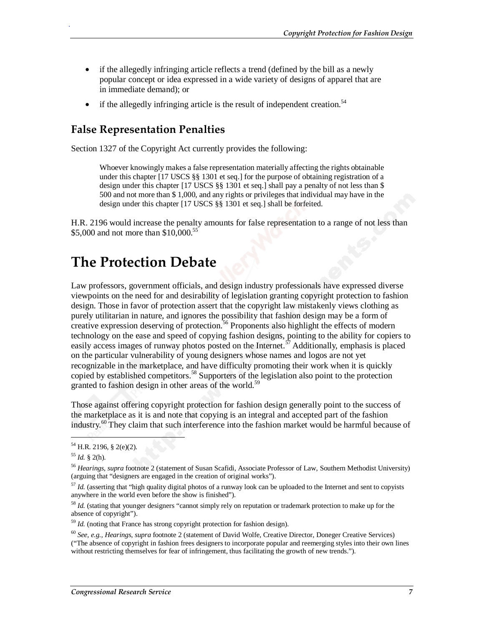- if the allegedly infringing article reflects a trend (defined by the bill as a newly popular concept or idea expressed in a wide variety of designs of apparel that are in immediate demand); or
- if the allegedly infringing article is the result of independent creation.<sup>54</sup>

#### **False Representation Penalties**

Section 1327 of the Copyright Act currently provides the following:

Whoever knowingly makes a false representation materially affecting the rights obtainable under this chapter [17 USCS §§ 1301 et seq.] for the purpose of obtaining registration of a design under this chapter [17 USCS §§ 1301 et seq.] shall pay a penalty of not less than \$ 500 and not more than \$ 1,000, and any rights or privileges that individual may have in the design under this chapter [17 USCS §§ 1301 et seq.] shall be forfeited.

H.R. 2196 would increase the penalty amounts for false representation to a range of not less than \$5,000 and not more than \$10,000.<sup>55</sup>

### **The Protection Debate**

Law professors, government officials, and design industry professionals have expressed diverse viewpoints on the need for and desirability of legislation granting copyright protection to fashion design. Those in favor of protection assert that the copyright law mistakenly views clothing as purely utilitarian in nature, and ignores the possibility that fashion design may be a form of creative expression deserving of protection.<sup>56</sup> Proponents also highlight the effects of modern technology on the ease and speed of copying fashion designs, pointing to the ability for copiers to easily access images of runway photos posted on the Internet.<sup>57</sup> Additionally, emphasis is placed on the particular vulnerability of young designers whose names and logos are not yet recognizable in the marketplace, and have difficulty promoting their work when it is quickly copied by established competitors.<sup>58</sup> Supporters of the legislation also point to the protection granted to fashion design in other areas of the world.<sup>59</sup>

Those against offering copyright protection for fashion design generally point to the success of the marketplace as it is and note that copying is an integral and accepted part of the fashion industry.<sup>60</sup> They claim that such interference into the fashion market would be harmful because of

1

.

 $54$  H.R. 2196, § 2(e)(2).

<sup>55</sup> *Id.* § 2(h).

<sup>56</sup> *Hearings, supra* footnote 2 (statement of Susan Scafidi, Associate Professor of Law, Southern Methodist University) (arguing that "designers are engaged in the creation of original works").

<sup>&</sup>lt;sup>57</sup> *Id.* (asserting that "high quality digital photos of a runway look can be uploaded to the Internet and sent to copyists anywhere in the world even before the show is finished").

<sup>&</sup>lt;sup>58</sup> *Id.* (stating that younger designers "cannot simply rely on reputation or trademark protection to make up for the absence of copyright").

<sup>59</sup> *Id.* (noting that France has strong copyright protection for fashion design).

<sup>60</sup> *See, e.g., Hearings*, *supra* footnote 2 (statement of David Wolfe, Creative Director, Doneger Creative Services) ("The absence of copyright in fashion frees designers to incorporate popular and reemerging styles into their own lines without restricting themselves for fear of infringement, thus facilitating the growth of new trends.").